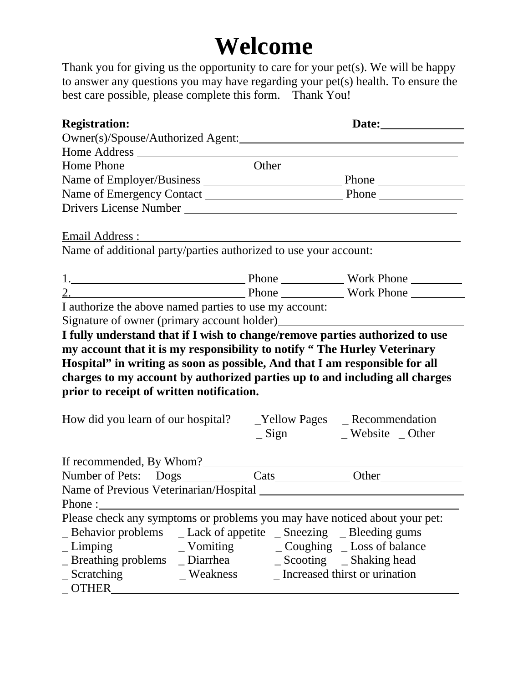## **Welcome**

Thank you for giving us the opportunity to care for your pet(s). We will be happy to answer any questions you may have regarding your pet(s) health. To ensure the best care possible, please complete this form. Thank You!

| <b>Registration:</b>                                                                                                                                                                                                                                                                                                                                                                                                                      |                         |
|-------------------------------------------------------------------------------------------------------------------------------------------------------------------------------------------------------------------------------------------------------------------------------------------------------------------------------------------------------------------------------------------------------------------------------------------|-------------------------|
|                                                                                                                                                                                                                                                                                                                                                                                                                                           |                         |
|                                                                                                                                                                                                                                                                                                                                                                                                                                           |                         |
|                                                                                                                                                                                                                                                                                                                                                                                                                                           |                         |
|                                                                                                                                                                                                                                                                                                                                                                                                                                           |                         |
|                                                                                                                                                                                                                                                                                                                                                                                                                                           |                         |
|                                                                                                                                                                                                                                                                                                                                                                                                                                           |                         |
| Email Address:                                                                                                                                                                                                                                                                                                                                                                                                                            |                         |
| Name of additional party/parties authorized to use your account:                                                                                                                                                                                                                                                                                                                                                                          |                         |
| 1. North Phone North Phone North Phone North Phone Number                                                                                                                                                                                                                                                                                                                                                                                 |                         |
|                                                                                                                                                                                                                                                                                                                                                                                                                                           |                         |
|                                                                                                                                                                                                                                                                                                                                                                                                                                           |                         |
| I fully understand that if I wish to change/remove parties authorized to use<br>my account that it is my responsibility to notify "The Hurley Veterinary<br>Hospital" in writing as soon as possible, And that I am responsible for all<br>charges to my account by authorized parties up to and including all charges<br>prior to receipt of written notification.<br>How did you learn of our hospital? __Yellow Pages __Recommendation |                         |
|                                                                                                                                                                                                                                                                                                                                                                                                                                           | _Sign __ Website _Other |
| If recommended, By Whom?                                                                                                                                                                                                                                                                                                                                                                                                                  |                         |
|                                                                                                                                                                                                                                                                                                                                                                                                                                           |                         |
| Phone : $\overline{\phantom{a}}$                                                                                                                                                                                                                                                                                                                                                                                                          |                         |
| Please check any symptoms or problems you may have noticed about your pet:<br>_ Behavior problems _ _ Lack of appetite _ Sneezing _ _ Bleeding gums                                                                                                                                                                                                                                                                                       |                         |
| $\mathbf{L}$ Limping                                                                                                                                                                                                                                                                                                                                                                                                                      |                         |
|                                                                                                                                                                                                                                                                                                                                                                                                                                           |                         |